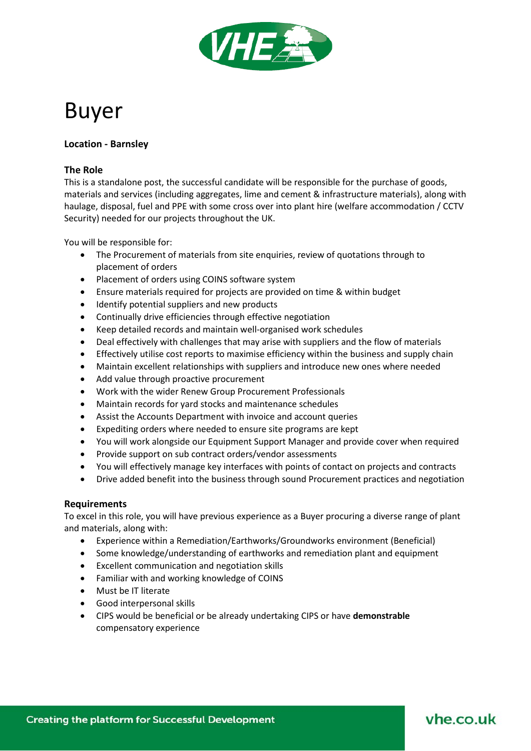

# Buyer

## **Location - Barnsley**

### **The Role**

This is a standalone post, the successful candidate will be responsible for the purchase of goods, materials and services (including aggregates, lime and cement & infrastructure materials), along with haulage, disposal, fuel and PPE with some cross over into plant hire (welfare accommodation / CCTV Security) needed for our projects throughout the UK.

You will be responsible for:

- The Procurement of materials from site enquiries, review of quotations through to placement of orders
- Placement of orders using COINS software system
- Ensure materials required for projects are provided on time & within budget
- Identify potential suppliers and new products
- Continually drive efficiencies through effective negotiation
- Keep detailed records and maintain well‐organised work schedules
- Deal effectively with challenges that may arise with suppliers and the flow of materials
- Effectively utilise cost reports to maximise efficiency within the business and supply chain
- Maintain excellent relationships with suppliers and introduce new ones where needed
- Add value through proactive procurement
- Work with the wider Renew Group Procurement Professionals
- Maintain records for yard stocks and maintenance schedules
- Assist the Accounts Department with invoice and account queries
- Expediting orders where needed to ensure site programs are kept
- You will work alongside our Equipment Support Manager and provide cover when required
- Provide support on sub contract orders/vendor assessments
- You will effectively manage key interfaces with points of contact on projects and contracts
- Drive added benefit into the business through sound Procurement practices and negotiation

#### **Requirements**

To excel in this role, you will have previous experience as a Buyer procuring a diverse range of plant and materials, along with:

- Experience within a Remediation/Earthworks/Groundworks environment (Beneficial)
- Some knowledge/understanding of earthworks and remediation plant and equipment
- Excellent communication and negotiation skills
- Familiar with and working knowledge of COINS
- Must be IT literate
- Good interpersonal skills
- CIPS would be beneficial or be already undertaking CIPS or have **demonstrable**  compensatory experience

# vhe co.uk